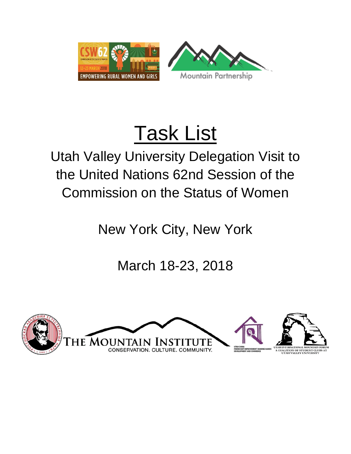

# Task List

## Utah Valley University Delegation Visit to the United Nations 62nd Session of the Commission on the Status of Women

New York City, New York

March 18-23, 2018

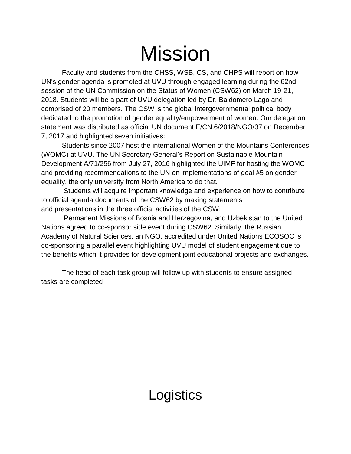## Mission

Faculty and students from the CHSS, WSB, CS, and CHPS will report on how UN's gender agenda is promoted at UVU through engaged learning during the 62nd session of the UN Commission on the Status of Women (CSW62) on March 19-21, 2018. Students will be a part of UVU delegation led by Dr. Baldomero Lago and comprised of 20 members. The CSW is the global intergovernmental political body dedicated to the promotion of gender equality/empowerment of women. Our delegation statement was distributed as official UN document E/CN.6/2018/NGO/37 on December 7, 2017 and highlighted seven initiatives:

Students since 2007 host the international Women of the Mountains Conferences (WOMC) at UVU. The UN Secretary General's Report on Sustainable Mountain Development A/71/256 from July 27, 2016 highlighted the UIMF for hosting the WOMC and providing recommendations to the UN on implementations of goal #5 on gender equality, the only university from North America to do that.

Students will acquire important knowledge and experience on how to contribute to official agenda documents of the CSW62 by making statements and presentations in the three official activities of the CSW:

Permanent Missions of Bosnia and Herzegovina, and Uzbekistan to the United Nations agreed to co-sponsor side event during CSW62. Similarly, the Russian Academy of Natural Sciences, an NGO, accredited under United Nations ECOSOC is co-sponsoring a parallel event highlighting UVU model of student engagement due to the benefits which it provides for development joint educational projects and exchanges.

The head of each task group will follow up with students to ensure assigned tasks are completed

### **Logistics**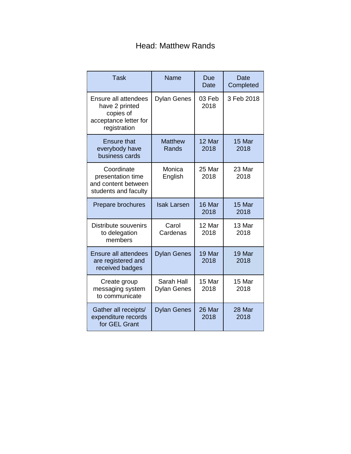#### Head: Matthew Rands

| <b>Task</b>                                                                                  | Name                      | Due<br><b>Date</b> | Date<br>Completed |
|----------------------------------------------------------------------------------------------|---------------------------|--------------------|-------------------|
| Ensure all attendees<br>have 2 printed<br>copies of<br>acceptance letter for<br>registration | <b>Dylan Genes</b>        | 03 Feb<br>2018     | 3 Feb 2018        |
| <b>Ensure that</b><br>everybody have<br>business cards                                       | <b>Matthew</b><br>Rands   | 12 Mar<br>2018     | 15 Mar<br>2018    |
| Coordinate<br>presentation time<br>and content between<br>students and faculty               | Monica<br>English         | 25 Mar<br>2018     | 23 Mar<br>2018    |
| Prepare brochures                                                                            | <b>Isak Larsen</b>        | 16 Mar<br>2018     | 15 Mar<br>2018    |
| Distribute souvenirs<br>to delegation<br>members                                             | Carol<br>Cardenas         | 12 Mar<br>2018     | 13 Mar<br>2018    |
| <b>Ensure all attendees</b><br>are registered and<br>received badges                         | Dylan Genes               | 19 Mar<br>2018     | 19 Mar<br>2018    |
| Create group<br>messaging system<br>to communicate                                           | Sarah Hall<br>Dylan Genes | 15 Mar<br>2018     | 15 Mar<br>2018    |
| Gather all receipts/<br>expenditure records<br>for GEL Grant                                 | <b>Dylan Genes</b>        | 26 Mar<br>2018     | 28 Mar<br>2018    |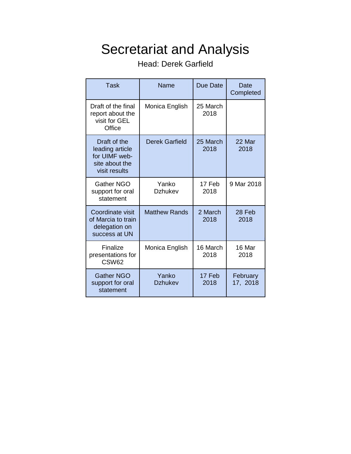#### Secretariat and Analysis

Head: Derek Garfield

| Task                                                                                | Name                    | Due Date         | Date<br>Completed    |
|-------------------------------------------------------------------------------------|-------------------------|------------------|----------------------|
| Draft of the final<br>report about the<br>visit for GEL<br>Office                   | Monica English          | 25 March<br>2018 |                      |
| Draft of the<br>leading article<br>for UIMF web-<br>site about the<br>visit results | <b>Derek Garfield</b>   | 25 March<br>2018 | 22 Mar<br>2018       |
| <b>Gather NGO</b><br>support for oral<br>statement                                  | Yanko<br><b>Dzhukev</b> | 17 Feb<br>2018   | 9 Mar 2018           |
| Coordinate visit<br>of Marcia to train<br>delegation on<br>success at UN            | <b>Matthew Rands</b>    | 2 March<br>2018  | 28 Feb<br>2018       |
| Finalize<br>presentations for<br>CSW62                                              | Monica English          | 16 March<br>2018 | 16 Mar<br>2018       |
| <b>Gather NGO</b><br>support for oral<br>statement                                  | Yanko<br><b>Dzhukev</b> | 17 Feb<br>2018   | February<br>17, 2018 |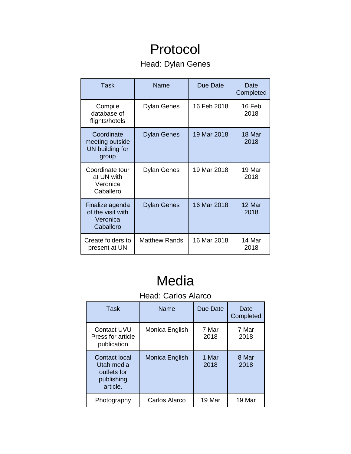### Protocol

#### Head: Dylan Genes

| Task                                                          | Name                 | Due Date    | Date<br>Completed |
|---------------------------------------------------------------|----------------------|-------------|-------------------|
| Compile<br>database of<br>flights/hotels                      | <b>Dylan Genes</b>   | 16 Feb 2018 | 16 Feb<br>2018    |
| Coordinate<br>meeting outside<br>UN building for<br>group     | <b>Dylan Genes</b>   | 19 Mar 2018 | 18 Mar<br>2018    |
| Coordinate tour<br>at UN with<br>Veronica<br>Caballero        | Dylan Genes          | 19 Mar 2018 | 19 Mar<br>2018    |
| Finalize agenda<br>of the visit with<br>Veronica<br>Caballero | <b>Dylan Genes</b>   | 16 Mar 2018 | 12 Mar<br>2018    |
| Create folders to<br>present at UN                            | <b>Matthew Rands</b> | 16 Mar 2018 | 14 Mar<br>2018    |

### Media

#### Head: Carlos Alarco

| Task                                                                 | Name           | Due Date      | Date<br>Completed |
|----------------------------------------------------------------------|----------------|---------------|-------------------|
| <b>Contact UVU</b><br>Press for article<br>publication               | Monica English | 7 Mar<br>2018 | 7 Mar<br>2018     |
| Contact local<br>Utah media<br>outlets for<br>publishing<br>article. | Monica English | 1 Mar<br>2018 | 8 Mar<br>2018     |
| Photography                                                          | Carlos Alarco  | 19 Mar        | 19 Mar            |